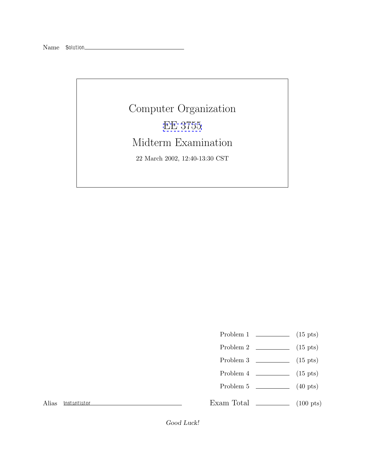## Computer Organization [EE 3755](http://www.ece.lsu.edu/ee3755/) Midterm Examination 22 March 2002, 12:40-13:30 CST

- Problem 1  $\qquad \qquad$  (15 pts)
- Problem 2 (15 pts)
- Problem 3 (15 pts)
- Problem  $4 \t\t(15 \text{ pts})$
- Problem 5 (40 pts)

Alias *Instantiator*

Exam Total  $\qquad \qquad$  (100 pts)

*Good Luck!*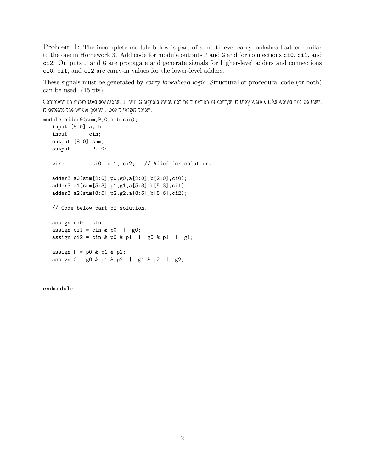Problem 1: The incomplete module below is part of a multi-level carry-lookahead adder similar to the one in Homework 3. Add code for module outputs P and G and for connections ci0, ci1, and ci2. Outputs P and G are propagate and generate signals for higher-level adders and connections ci0, ci1, and ci2 are carry-in values for the lower-level adders.

These signals must be generated by *carry lookahead logic*. Structural or procedural code (or both) can be used. (15 pts)

*Comment on submitted solutions:* P *and* G *signals must not be function of carrys! If they were CLAs would not be fast!! It defeats the whole point!!! Don't forget this!!!!*

```
module adder9(sum,P,G,a,b,cin);
  input [8:0] a, b;
  input cin;
  output [8:0] sum;
  output P, G;
  wire ci0, ci1, ci2; // Added for solution.
  adder3 a0(sum[2:0],p0,g0,a[2:0],b[2:0],ci0);
  adder3 a1(sum[5:3],p1,g1,a[5:3],b[5:3],ci1);
  adder3 a2(sum[8:6],p2,g2,a[8:6],b[8:6],ci2);
  // Code below part of solution.
  assign ci0 = cin;
  assign ci1 = cin & p0 | g0;
  assign ci2 = cin & p0 & p1 | g0 & p1 | g1;
  assign P = p0 & p1 & p2;
  assign G = g0 \& p1 \& p2 \mid g1 \& p2 \mid g2;
```
endmodule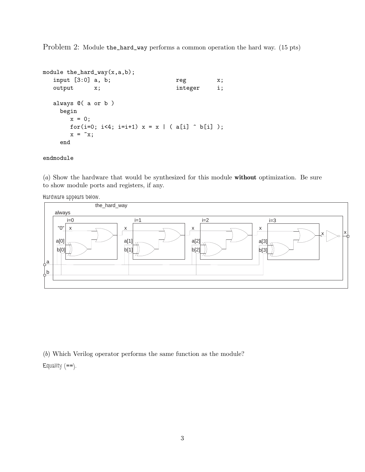Problem 2: Module the\_hard\_way performs a common operation the hard way. (15 pts)

```
module the_hard_way(x,a,b);
  input [3:0] a, b; reg x;
  output x; integer i;
  always @( a or b )
    begin
      x = 0;for(i=0; i<4; i=i+1) x = x | ( a[i] \hat{b} b[i] );
      x = \tilde{x};
    end
```
## endmodule

(*a*) Show the hardware that would be synthesized for this module **without** optimization. Be sure to show module ports and registers, if any.

*Hardware appears below.*



(*b*) Which Verilog operator performs the same function as the module?

*Equality (*==*).*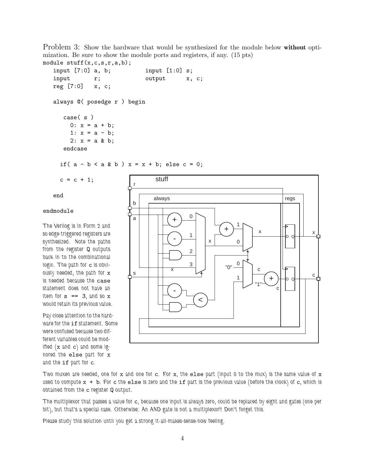Problem 3: Show the hardware that would be synthesized for the module below **without** optimization. Be sure to show the module ports and registers, if any. (15 pts)

```
module \text{stuff}(x,c,s,r,a,b);
  input [7:0] a, b; input [1:0] s;
  input r; output x, c;
  reg [7:0] x, c;
  always @( posedge r ) begin
     case( s )
       0: x = a + b;1: x = a - b;
       2: x = a & b;endcase
    if( a - b < a \& b) x = x + b; else c = 0;
```
 $c = c + 1;$ 

end

## endmodule

*The Verilog is in Form 2 and so edge-triggered registers are synthesized. Note the paths from the register* Q *outputs back in to the combinational logic. The path for* c *is obviously needed, the path for* x *is needed because the* case *statement does not have an item for* s == 3*, and so* x *would retain its previous value.*

*Pay close attention to the hardware for the* if *statement. Some were confused because two different variables could be modified (*x *and* c*) and some ignored the* else *part for* x *and the* if *part for* c*.*



*Two muxen are needed, one for* x and one for c. For x, the else part (input 0 to the mux) is the same value of x *used to compute* x+b*. For* c *the* else *is zero and the* if *part is the previous value (before the clock) of* c*, which is obtained from the* c *register* Q *output.*

*The multiplexor that passes a value for* c*, because one input is always zero, could be replaced by eight and gates (one per bit), but that's a special case. Otherwise: An AND gate is not a multiplexor!! Don't forget this.*

*Please study this solution until you get a strong it-all-makes-sense-now feeling.*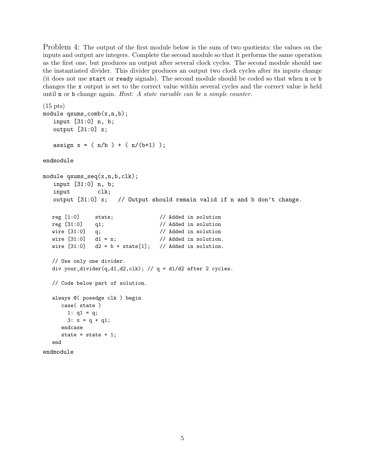Problem 4: The output of the first module below is the sum of two quotients; the values on the inputs and output are integers. Complete the second module so that it performs the same operation as the first one, but produces an output after several clock cycles. The second module should use the instantiated divider. This divider produces an output two clock cycles after its inputs change (it does not use start or ready signals). The second module should be coded so that when n or b changes the x output is set to the correct value within several cycles and the correct value is held until n or b change again. *Hint: A state variable can be a simple counter.*

```
(15 pts)
module qsums_comb(x,n,b);
  input [31:0] n, b;
  output [31:0] x;
  assign x = (n/b) + (n/(b+1));
endmodule
module qsums_seq(x,n,b,clk);
   input [31:0] n, b;
  input clk;
  output [31:0] x; // Output should remain valid if n and b don't change.
  reg [1:0] state; // Added in solution
  reg [31:0] q1; // Added in solution
  wire [31:0] q; // Added in solution
  wire [31:0] d1 = n; \frac{1}{4} Added in solution.
  wire [31:0] d2 = b + state[1]; // Added in solution.
  // Use only one divider.
  div your_divider(q,d1,d2,clk); // q = d1/d2 after 2 cycles.
  // Code below part of solution.
  always @( posedge clk ) begin
     case( state )
      1: q1 = q;3: x = q + q1;
     endcase
     state = state + 1;
  end
endmodule
```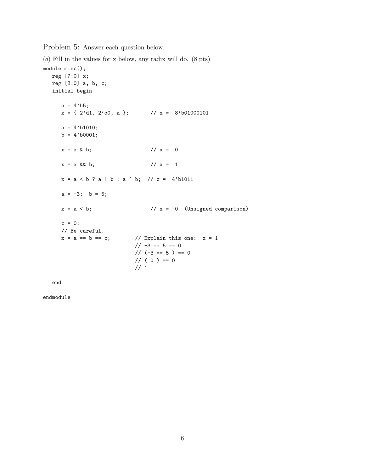Problem 5: Answer each question below.

(*a*) Fill in the values for x below, any radix will do. (8 pts)

```
module misc();
  reg [7:0] x;
  reg [3:0] a, b, c;
  initial begin
    a = 4'h5;x = \{ 2'd1, 2'00, a \}; // x = 8'b01000101a = 4' b1010;b = 4'b0001;x = a & b; // x = 0x = a \& b; // x = 1x = a < b ? a | b : a \hat{b}; // x = 4'b1011
    a = -3; b = 5;
    x = a < b; \frac{1}{x} = 0 (Unsigned comparison)
     c = 0;// Be careful.
    x = a == b == c; // Explain this one: x = 1// -3 == 5 == 0// (-3 == 5 ) == 0// ( 0 ) == 0
                         // 1
```
end

endmodule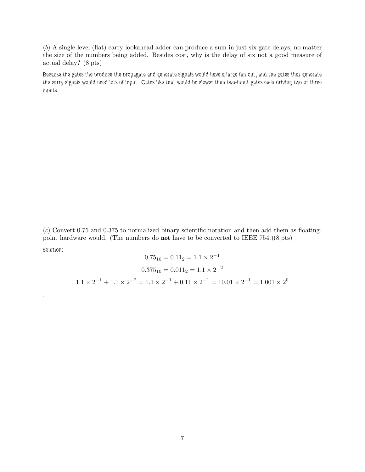(*b*) A single-level (flat) carry lookahead adder can produce a sum in just six gate delays, no matter the size of the numbers being added. Besides cost, why is the delay of six not a good measure of actual delay? (8 pts)

*Because the gates the produce the propagate and generate signals would have a large fan out, and the gates that generate the carry signals would need lots of input. Gates like that would be slower than two-input gates each driving two or three inputs.*

(*c*) Convert 0.75 and 0.375 to normalized binary scientific notation and then add them as floatingpoint hardware would. (The numbers do **not** have to be converted to IEEE 754.)(8 pts) *Solution:*

$$
0.75_{10} = 0.11_2 = 1.1 \times 2^{-1}
$$

$$
0.375_{10} = 0.011_2 = 1.1 \times 2^{-2}
$$

$$
1.1 \times 2^{-1} + 1.1 \times 2^{-2} = 1.1 \times 2^{-1} + 0.11 \times 2^{-1} = 10.01 \times 2^{-1} = 1.001 \times 2^{0}
$$

*.*